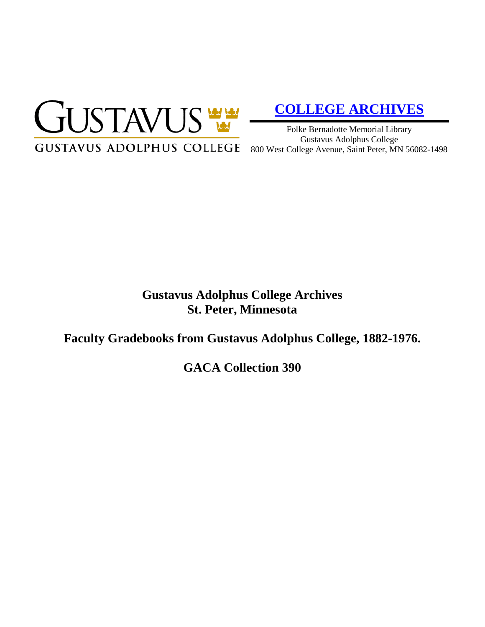

# **[COLLEGE ARCHIVES](http://gustavus.edu/academics/library/archives/)**

Folke Bernadotte Memorial Library Gustavus Adolphus College

# **Gustavus Adolphus College Archives St. Peter, Minnesota**

**Faculty Gradebooks from Gustavus Adolphus College, 1882-1976.**

**GACA Collection 390**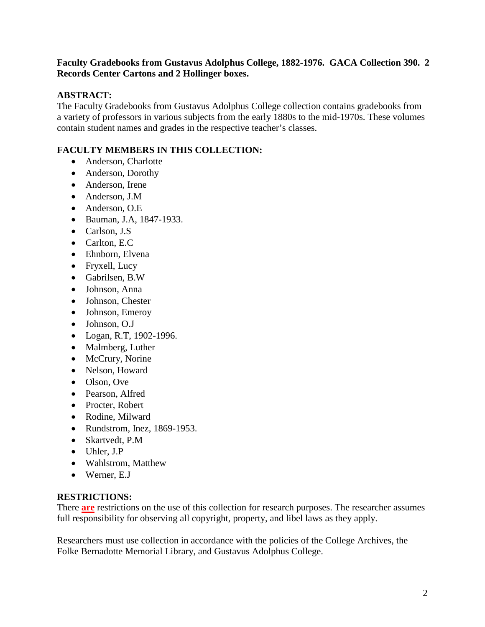# **Faculty Gradebooks from Gustavus Adolphus College, 1882-1976. GACA Collection 390. 2 Records Center Cartons and 2 Hollinger boxes.**

# **ABSTRACT:**

The Faculty Gradebooks from Gustavus Adolphus College collection contains gradebooks from a variety of professors in various subjects from the early 1880s to the mid-1970s. These volumes contain student names and grades in the respective teacher's classes.

# **FACULTY MEMBERS IN THIS COLLECTION:**

- Anderson, Charlotte
- Anderson, Dorothy
- Anderson, Irene
- Anderson, J.M
- Anderson, O.E
- Bauman, J.A, 1847-1933.
- Carlson, J.S
- Carlton, E.C
- Ehnborn, Elvena
- Fryxell, Lucy
- Gabrilsen, B.W
- Johnson, Anna
- Johnson, Chester
- Johnson, Emeroy
- Johnson, O.J
- Logan, R.T, 1902-1996.
- Malmberg, Luther
- McCrury, Norine
- Nelson, Howard
- Olson, Ove
- Pearson, Alfred
- Procter, Robert
- Rodine, Milward
- Rundstrom, Inez, 1869-1953.
- Skartvedt, P.M
- Uhler, J.P
- Wahlstrom, Matthew
- Werner, E.J

#### **RESTRICTIONS:**

There **are** restrictions on the use of this collection for research purposes. The researcher assumes full responsibility for observing all copyright, property, and libel laws as they apply.

Researchers must use collection in accordance with the policies of the College Archives, the Folke Bernadotte Memorial Library, and Gustavus Adolphus College.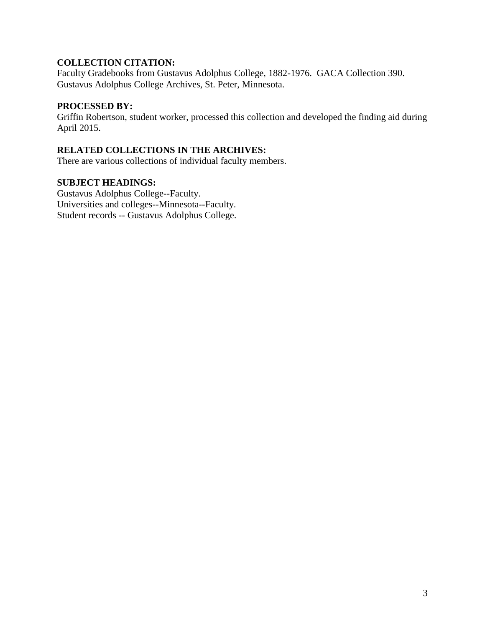# **COLLECTION CITATION:**

Faculty Gradebooks from Gustavus Adolphus College, 1882-1976. GACA Collection 390. Gustavus Adolphus College Archives, St. Peter, Minnesota.

## **PROCESSED BY:**

Griffin Robertson, student worker, processed this collection and developed the finding aid during April 2015.

# **RELATED COLLECTIONS IN THE ARCHIVES:**

There are various collections of individual faculty members.

## **SUBJECT HEADINGS:**

Gustavus Adolphus College--Faculty. Universities and colleges--Minnesota--Faculty. Student records -- Gustavus Adolphus College.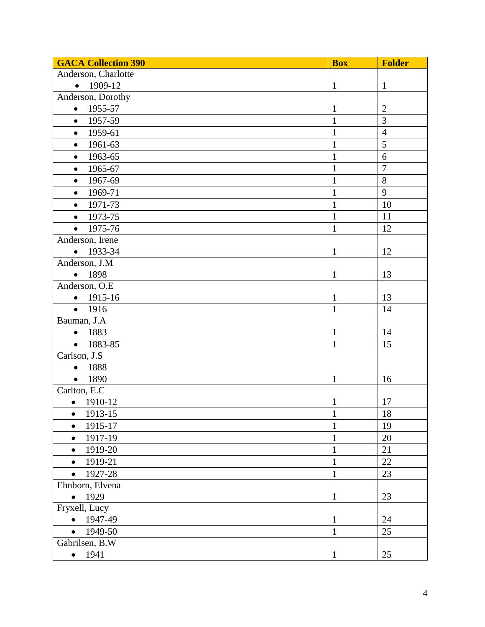| <b>GACA Collection 390</b> | <b>Box</b>     | <b>Folder</b>  |
|----------------------------|----------------|----------------|
| Anderson, Charlotte        |                |                |
| 1909-12<br>$\bullet$       | $\mathbf{1}$   | $\mathbf{1}$   |
| Anderson, Dorothy          |                |                |
| 1955-57<br>$\bullet$       | $\mathbf{1}$   | $\overline{2}$ |
| 1957-59<br>$\bullet$       | $\mathbf{1}$   | $\overline{3}$ |
| 1959-61<br>$\bullet$       | $\mathbf{1}$   | $\overline{4}$ |
| 1961-63<br>$\bullet$       | $\mathbf{1}$   | 5              |
| 1963-65<br>$\bullet$       | $\mathbf{1}$   | 6              |
| 1965-67<br>$\bullet$       | $\mathbf{1}$   | $\overline{7}$ |
| 1967-69<br>$\bullet$       | $\mathbf{1}$   | 8              |
| 1969-71<br>$\bullet$       | $\mathbf{1}$   | 9              |
| 1971-73<br>$\bullet$       | $\mathbf{1}$   | 10             |
| 1973-75<br>$\bullet$       | $\mathbf{1}$   | 11             |
| 1975-76                    | $\overline{1}$ | 12             |
| Anderson, Irene            |                |                |
| 1933-34<br>$\bullet$       | $\mathbf{1}$   | 12             |
| Anderson, J.M              |                |                |
| 1898<br>$\bullet$          | $\mathbf{1}$   | 13             |
| Anderson, O.E              |                |                |
| 1915-16<br>$\bullet$       | $\mathbf{1}$   | 13             |
| 1916<br>$\bullet$          | $\mathbf{1}$   | 14             |
| Bauman, J.A                |                |                |
| 1883                       | $\mathbf{1}$   | 14             |
| 1883-85<br>$\bullet$       | $\mathbf{1}$   | 15             |
| Carlson, J.S               |                |                |
| 1888                       |                |                |
| 1890<br>$\bullet$          | $\mathbf{1}$   | 16             |
| Carlton, E.C               |                |                |
| 1910-12<br>$\bullet$       | $\mathbf{1}$   | 17             |
| 1913-15                    | $\mathbf{1}$   | 18             |
| 1915-17<br>$\bullet$       | $\mathbf{1}$   | 19             |
| 1917-19<br>$\bullet$       | $\mathbf{1}$   | $20\,$         |
| 1919-20<br>$\bullet$       | $\mathbf{1}$   | 21             |
| 1919-21<br>$\bullet$       | $\mathbf{1}$   | 22             |
| 1927-28<br>$\bullet$       | $\mathbf{1}$   | 23             |
| Ehnborn, Elvena            |                |                |
| 1929<br>$\bullet$          | $\mathbf{1}$   | 23             |
| Fryxell, Lucy              |                |                |
| 1947-49<br>$\bullet$       | $\mathbf{1}$   | 24             |
| 1949-50<br>$\bullet$       | $\mathbf{1}$   | 25             |
| Gabrilsen, B.W             |                |                |
| 1941<br>$\bullet$          | $\mathbf{1}$   | 25             |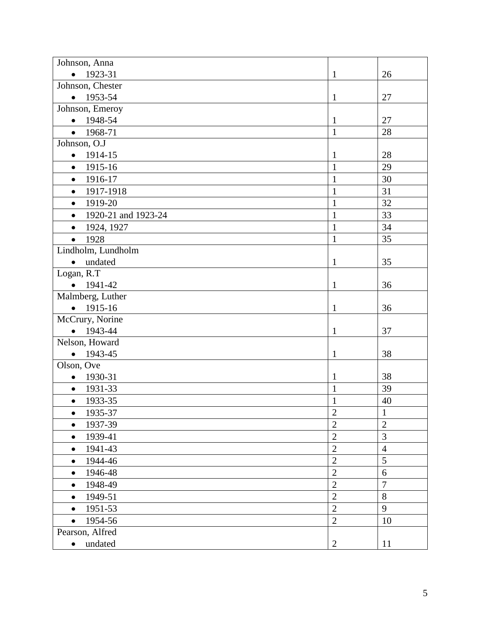| Johnson, Anna                    |                |                |
|----------------------------------|----------------|----------------|
| 1923-31<br>$\bullet$             | $\mathbf{1}$   | 26             |
| Johnson, Chester                 |                |                |
| 1953-54<br>$\bullet$             | $\mathbf{1}$   | 27             |
| Johnson, Emeroy                  |                |                |
| 1948-54<br>$\bullet$             | $\mathbf{1}$   | 27             |
| 1968-71<br>$\bullet$             | $\mathbf{1}$   | 28             |
| Johnson, O.J                     |                |                |
| 1914-15<br>$\bullet$             | $\mathbf{1}$   | 28             |
| 1915-16<br>$\bullet$             | $\mathbf{1}$   | 29             |
| 1916-17<br>$\bullet$             | $\mathbf{1}$   | 30             |
| 1917-1918<br>$\bullet$           | $\mathbf{1}$   | 31             |
| 1919-20<br>$\bullet$             | $\mathbf{1}$   | 32             |
| 1920-21 and 1923-24<br>$\bullet$ | $\mathbf{1}$   | 33             |
| 1924, 1927<br>$\bullet$          | $\mathbf{1}$   | 34             |
| 1928<br>$\bullet$                | $\mathbf{1}$   | 35             |
| Lindholm, Lundholm               |                |                |
| undated<br>$\bullet$             | $\mathbf{1}$   | 35             |
| Logan, R.T                       |                |                |
| 1941-42                          | $\mathbf{1}$   | 36             |
| Malmberg, Luther                 |                |                |
| $-1915-16$                       | $\mathbf{1}$   | 36             |
| McCrury, Norine                  |                |                |
| 1943-44<br>$\bullet$             | $\mathbf{1}$   | 37             |
| Nelson, Howard                   |                |                |
| 1943-45<br>$\bullet$             | $\mathbf{1}$   | 38             |
| Olson, Ove                       |                |                |
| 1930-31<br>$\bullet$             | $\mathbf{1}$   | 38             |
| 1931-33<br>$\bullet$             | $\mathbf{1}$   | 39             |
| 1933-35<br>$\bullet$             | $\mathbf{1}$   | 40             |
| 1935-37                          | $\overline{c}$ | $\mathbf{1}$   |
| 1937-39<br>$\bullet$             | $\overline{2}$ | $\overline{2}$ |
| 1939-41<br>$\bullet$             | $\overline{2}$ | $\overline{3}$ |
| 1941-43<br>$\bullet$             | $\overline{2}$ | $\overline{4}$ |
| 1944-46<br>$\bullet$             | $\overline{2}$ | 5              |
| 1946-48<br>$\bullet$             | $\overline{2}$ | 6              |
| 1948-49<br>$\bullet$             | $\overline{2}$ | $\overline{7}$ |
| 1949-51<br>$\bullet$             | $\overline{2}$ | 8              |
| 1951-53<br>$\bullet$             | $\overline{2}$ | 9              |
| 1954-56<br>$\bullet$             | $\overline{2}$ | 10             |
| Pearson, Alfred                  |                |                |
| undated<br>$\bullet$             | $\overline{2}$ | 11             |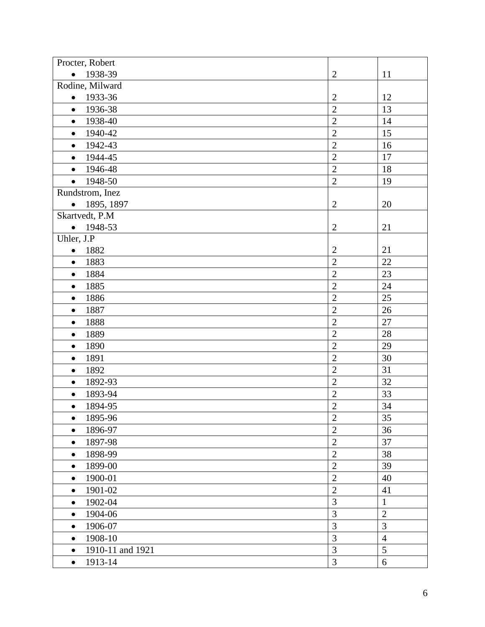| Procter, Robert               |                |                |
|-------------------------------|----------------|----------------|
| 1938-39<br>$\bullet$          | $\mathfrak{2}$ | 11             |
| Rodine, Milward               |                |                |
| 1933-36<br>$\bullet$          | $\overline{2}$ | 12             |
| 1936-38<br>$\bullet$          | $\overline{2}$ | 13             |
| 1938-40<br>$\bullet$          | $\overline{2}$ | 14             |
| 1940-42<br>$\bullet$          | $\overline{2}$ | 15             |
| 1942-43<br>$\bullet$          | $\overline{2}$ | 16             |
| 1944-45<br>$\bullet$          | $\overline{2}$ | 17             |
| 1946-48<br>$\bullet$          | $\overline{2}$ | 18             |
| 1948-50<br>$\bullet$          | $\overline{2}$ | 19             |
| Rundstrom, Inez               |                |                |
| 1895, 1897<br>$\bullet$       | $\overline{c}$ | 20             |
| Skartvedt, P.M                |                |                |
| 1948-53<br>$\bullet$          | $\mathbf{2}$   | 21             |
| Uhler, J.P                    |                |                |
| 1882<br>$\bullet$             | $\mathbf{2}$   | 21             |
| 1883<br>$\bullet$             | $\overline{2}$ | 22             |
| 1884<br>$\bullet$             | $\overline{2}$ | 23             |
| 1885<br>$\bullet$             | $\overline{2}$ | 24             |
| 1886<br>$\bullet$             | $\overline{2}$ | 25             |
| 1887<br>$\bullet$             | $\overline{2}$ | 26             |
| 1888<br>$\bullet$             | $\overline{2}$ | 27             |
| 1889<br>$\bullet$             | $\overline{2}$ | 28             |
| 1890<br>$\bullet$             | $\overline{c}$ | 29             |
| 1891<br>$\bullet$             | $\overline{2}$ | 30             |
| 1892<br>$\bullet$             | $\overline{2}$ | 31             |
| 1892-93<br>$\bullet$          | $\overline{2}$ | 32             |
| 1893-94<br>$\bullet$          | $\overline{2}$ | 33             |
| 1894-95<br>$\bullet$          | $\overline{2}$ | 34             |
| 1895-96<br>$\bullet$          | $\overline{2}$ | 35             |
| 1896-97<br>$\bullet$          | $\overline{2}$ | 36             |
| 1897-98<br>$\bullet$          | $\overline{c}$ | 37             |
| 1898-99<br>$\bullet$          | $\overline{2}$ | 38             |
| 1899-00<br>$\bullet$          | $\overline{2}$ | 39             |
| 1900-01<br>$\bullet$          | $\overline{2}$ | 40             |
| 1901-02<br>$\bullet$          | $\overline{2}$ | 41             |
| 1902-04<br>$\bullet$          | $\overline{3}$ | $\mathbf{1}$   |
| 1904-06<br>$\bullet$          | 3              | $\overline{2}$ |
| 1906-07<br>$\bullet$          | 3              | 3              |
| 1908-10<br>$\bullet$          | $\overline{3}$ | $\overline{4}$ |
| 1910-11 and 1921<br>$\bullet$ | 3              | 5              |
| 1913-14<br>$\bullet$          | 3              | 6              |